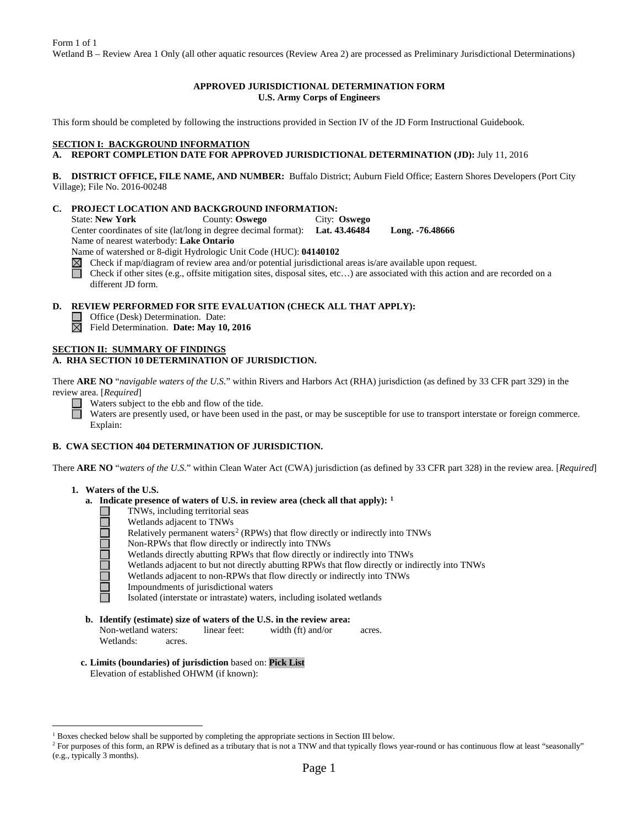# **APPROVED JURISDICTIONAL DETERMINATION FORM U.S. Army Corps of Engineers**

This form should be completed by following the instructions provided in Section IV of the JD Form Instructional Guidebook.

# **SECTION I: BACKGROUND INFORMATION**

# **A. REPORT COMPLETION DATE FOR APPROVED JURISDICTIONAL DETERMINATION (JD):** July 11, 2016

**B. DISTRICT OFFICE, FILE NAME, AND NUMBER:** Buffalo District; Auburn Field Office; Eastern Shores Developers (Port City Village); File No. 2016-00248

**C. PROJECT LOCATION AND BACKGROUND INFORMATION:**<br>State: New York County: Oswego City: State: **New York** County: **Oswego** City: **Oswego** Center coordinates of site (lat/long in degree decimal format): **Lat. 43.46484 Long. -76.48666** Name of nearest waterbody: **Lake Ontario**

Name of watershed or 8-digit Hydrologic Unit Code (HUC): **04140102**

- $\boxtimes$ Check if map/diagram of review area and/or potential jurisdictional areas is/are available upon request.
- Check if other sites (e.g., offsite mitigation sites, disposal sites, etc…) are associated with this action and are recorded on a different JD form.

### **D. REVIEW PERFORMED FOR SITE EVALUATION (CHECK ALL THAT APPLY):**

- Office (Desk) Determination. Date:
- Field Determination. **Date: May 10, 2016**

### **SECTION II: SUMMARY OF FINDINGS**

## **A. RHA SECTION 10 DETERMINATION OF JURISDICTION.**

There **ARE NO** "*navigable waters of the U.S.*" within Rivers and Harbors Act (RHA) jurisdiction (as defined by 33 CFR part 329) in the review area. [*Required*]

Waters subject to the ebb and flow of the tide.

Waters are presently used, or have been used in the past, or may be susceptible for use to transport interstate or foreign commerce. Explain:

### **B. CWA SECTION 404 DETERMINATION OF JURISDICTION.**

There **ARE NO** "*waters of the U.S.*" within Clean Water Act (CWA) jurisdiction (as defined by 33 CFR part 328) in the review area. [*Required*]

### **1. Waters of the U.S.**

- **a. Indicate presence of waters of U.S. in review area (check all that apply): [1](#page-0-0)**
	- TNWs, including territorial seas
	- Wetlands adjacent to TNWs
	- Relatively permanent waters<sup>[2](#page-0-1)</sup> (RPWs) that flow directly or indirectly into TNWs
	- Non-RPWs that flow directly or indirectly into TNWs
	- Wetlands directly abutting RPWs that flow directly or indirectly into TNWs
	- Wetlands adjacent to but not directly abutting RPWs that flow directly or indirectly into TNWs
	- Wetlands adjacent to non-RPWs that flow directly or indirectly into TNWs
	- Impoundments of jurisdictional waters
	- Isolated (interstate or intrastate) waters, including isolated wetlands
- **b. Identify (estimate) size of waters of the U.S. in the review area:** Non-wetland waters: linear feet: width (ft) and/or acres.
	- Wetlands: acres.
- **c. Limits (boundaries) of jurisdiction** based on: **Pick List**

Elevation of established OHWM (if known):

<span id="page-0-0"></span> <sup>1</sup> Boxes checked below shall be supported by completing the appropriate sections in Section III below.

<span id="page-0-1"></span><sup>&</sup>lt;sup>2</sup> For purposes of this form, an RPW is defined as a tributary that is not a TNW and that typically flows year-round or has continuous flow at least "seasonally" (e.g., typically 3 months).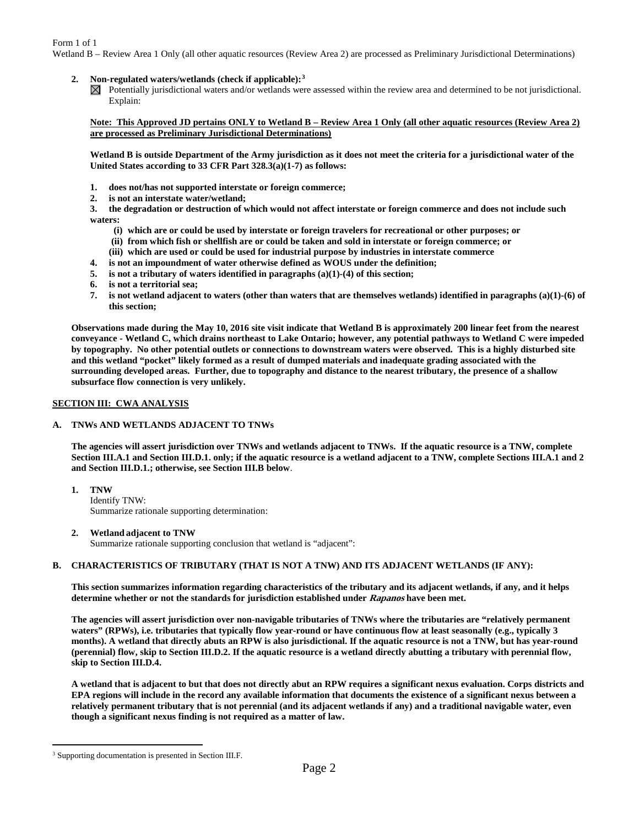Form 1 of 1

Wetland B – Review Area 1 Only (all other aquatic resources (Review Area 2) are processed as Preliminary Jurisdictional Determinations)

### **2. Non-regulated waters/wetlands (check if applicable):[3](#page-1-0)**

 $\boxtimes$  Potentially jurisdictional waters and/or wetlands were assessed within the review area and determined to be not jurisdictional. Explain:

## **Note: This Approved JD pertains ONLY to Wetland B – Review Area 1 Only (all other aquatic resources (Review Area 2) are processed as Preliminary Jurisdictional Determinations)**

**Wetland B is outside Department of the Army jurisdiction as it does not meet the criteria for a jurisdictional water of the United States according to 33 CFR Part 328.3(a)(1-7) as follows:**

- **1. does not/has not supported interstate or foreign commerce;**
- **2. is not an interstate water/wetland;**

**3. the degradation or destruction of which would not affect interstate or foreign commerce and does not include such waters:**

- **(i) which are or could be used by interstate or foreign travelers for recreational or other purposes; or**
- **(ii) from which fish or shellfish are or could be taken and sold in interstate or foreign commerce; or**
- **(iii) which are used or could be used for industrial purpose by industries in interstate commerce**
- **4. is not an impoundment of water otherwise defined as WOUS under the definition;**
- **5. is not a tributary of waters identified in paragraphs (a)(1)-(4) of this section;**
- **6. is not a territorial sea;**
- **7. is not wetland adjacent to waters (other than waters that are themselves wetlands) identified in paragraphs (a)(1)-(6) of this section;**

**Observations made during the May 10, 2016 site visit indicate that Wetland B is approximately 200 linear feet from the nearest conveyance - Wetland C, which drains northeast to Lake Ontario; however, any potential pathways to Wetland C were impeded by topography. No other potential outlets or connections to downstream waters were observed. This is a highly disturbed site and this wetland "pocket" likely formed as a result of dumped materials and inadequate grading associated with the surrounding developed areas. Further, due to topography and distance to the nearest tributary, the presence of a shallow subsurface flow connection is very unlikely.**

### **SECTION III: CWA ANALYSIS**

# **A. TNWs AND WETLANDS ADJACENT TO TNWs**

**The agencies will assert jurisdiction over TNWs and wetlands adjacent to TNWs. If the aquatic resource is a TNW, complete Section III.A.1 and Section III.D.1. only; if the aquatic resource is a wetland adjacent to a TNW, complete Sections III.A.1 and 2 and Section III.D.1.; otherwise, see Section III.B below**.

- **1. TNW**  Identify TNW: Summarize rationale supporting determination:
- **2. Wetland adjacent to TNW**  Summarize rationale supporting conclusion that wetland is "adjacent":

# **B. CHARACTERISTICS OF TRIBUTARY (THAT IS NOT A TNW) AND ITS ADJACENT WETLANDS (IF ANY):**

**This section summarizes information regarding characteristics of the tributary and its adjacent wetlands, if any, and it helps determine whether or not the standards for jurisdiction established under Rapanos have been met.** 

**The agencies will assert jurisdiction over non-navigable tributaries of TNWs where the tributaries are "relatively permanent waters" (RPWs), i.e. tributaries that typically flow year-round or have continuous flow at least seasonally (e.g., typically 3 months). A wetland that directly abuts an RPW is also jurisdictional. If the aquatic resource is not a TNW, but has year-round (perennial) flow, skip to Section III.D.2. If the aquatic resource is a wetland directly abutting a tributary with perennial flow, skip to Section III.D.4.**

**A wetland that is adjacent to but that does not directly abut an RPW requires a significant nexus evaluation. Corps districts and EPA regions will include in the record any available information that documents the existence of a significant nexus between a relatively permanent tributary that is not perennial (and its adjacent wetlands if any) and a traditional navigable water, even though a significant nexus finding is not required as a matter of law.**

<span id="page-1-0"></span> <sup>3</sup> Supporting documentation is presented in Section III.F.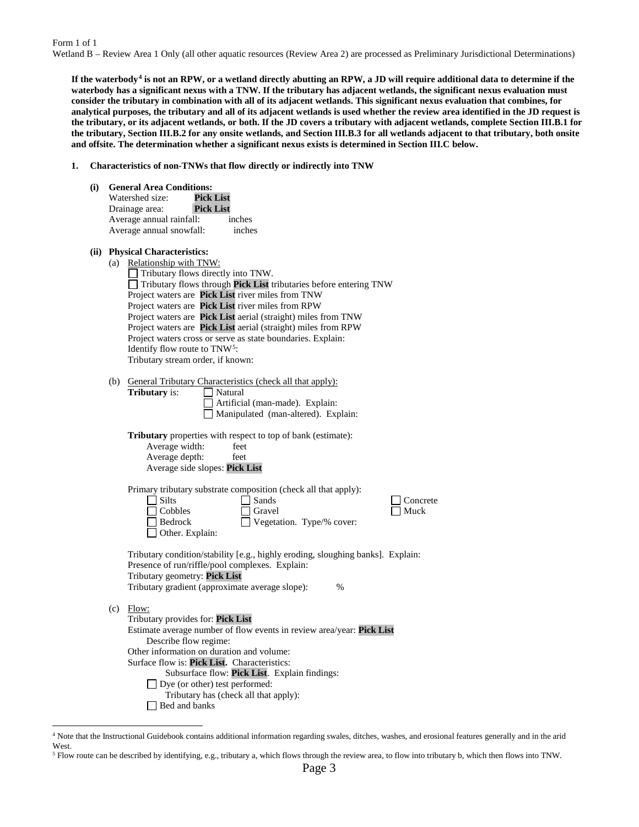Form 1 of 1 Wetland B – Review Area 1 Only (all other aquatic resources (Review Area 2) are processed as Preliminary Jurisdictional Determinations)

**If the waterbody[4](#page-2-0) is not an RPW, or a wetland directly abutting an RPW, a JD will require additional data to determine if the waterbody has a significant nexus with a TNW. If the tributary has adjacent wetlands, the significant nexus evaluation must consider the tributary in combination with all of its adjacent wetlands. This significant nexus evaluation that combines, for analytical purposes, the tributary and all of its adjacent wetlands is used whether the review area identified in the JD request is the tributary, or its adjacent wetlands, or both. If the JD covers a tributary with adjacent wetlands, complete Section III.B.1 for the tributary, Section III.B.2 for any onsite wetlands, and Section III.B.3 for all wetlands adjacent to that tributary, both onsite and offsite. The determination whether a significant nexus exists is determined in Section III.C below.**

**1. Characteristics of non-TNWs that flow directly or indirectly into TNW**

| (i) | <b>General Area Conditions:</b><br>Watershed size:<br><b>Pick List</b><br><b>Pick List</b><br>Drainage area:<br>Average annual rainfall:<br>inches<br>Average annual snowfall:<br>inches                                                                                                                                                                                                                                                                                                                                                                             |
|-----|----------------------------------------------------------------------------------------------------------------------------------------------------------------------------------------------------------------------------------------------------------------------------------------------------------------------------------------------------------------------------------------------------------------------------------------------------------------------------------------------------------------------------------------------------------------------|
|     | (ii) Physical Characteristics:<br>(a) Relationship with TNW:<br>Tributary flows directly into TNW.<br>Tributary flows through Pick List tributaries before entering TNW<br>Project waters are Pick List river miles from TNW<br>Project waters are Pick List river miles from RPW<br>Project waters are Pick List aerial (straight) miles from TNW<br>Project waters are Pick List aerial (straight) miles from RPW<br>Project waters cross or serve as state boundaries. Explain:<br>Identify flow route to TNW <sup>5</sup> :<br>Tributary stream order, if known: |
|     | (b) General Tributary Characteristics (check all that apply):<br><b>Tributary</b> is:<br>    Natural<br>Artificial (man-made). Explain:<br>Manipulated (man-altered). Explain:<br>Tributary properties with respect to top of bank (estimate):<br>Average width:<br>feet<br>Average depth:<br>feet<br>Average side slopes: Pick List                                                                                                                                                                                                                                 |
|     | Primary tributary substrate composition (check all that apply):<br>$\exists$ Silts<br>Sands<br>Concrete<br>Cobbles<br>Gravel<br>Muck<br>Vegetation. Type/% cover:<br>Bedrock<br>Other. Explain:                                                                                                                                                                                                                                                                                                                                                                      |
|     | Tributary condition/stability [e.g., highly eroding, sloughing banks]. Explain:<br>Presence of run/riffle/pool complexes. Explain:<br>Tributary geometry: Pick List<br>Tributary gradient (approximate average slope):<br>%                                                                                                                                                                                                                                                                                                                                          |
|     | $(c)$ Flow:<br>Tributary provides for: Pick List<br>Estimate average number of flow events in review area/year: Pick List<br>Describe flow regime:<br>Other information on duration and volume:<br>Surface flow is: Pick List. Characteristics:                                                                                                                                                                                                                                                                                                                      |

<span id="page-2-0"></span> 4 Note that the Instructional Guidebook contains additional information regarding swales, ditches, washes, and erosional features generally and in the arid West.

Subsurface flow: **Pick List**. Explain findings:

Tributary has (check all that apply):

□ Dye (or other) test performed:

Bed and banks

<span id="page-2-1"></span><sup>5</sup> Flow route can be described by identifying, e.g., tributary a, which flows through the review area, to flow into tributary b, which then flows into TNW.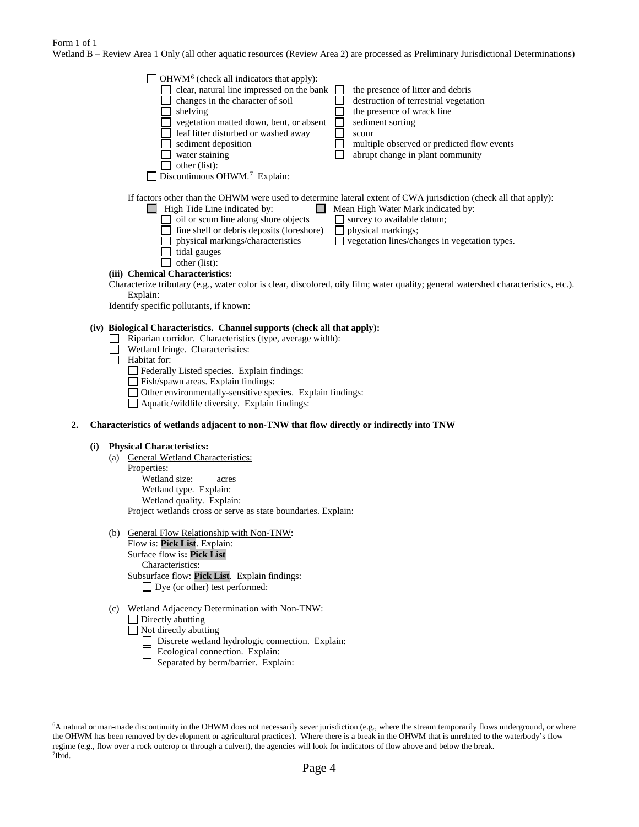### Form 1 of 1

Wetland B – Review Area 1 Only (all other aquatic resources (Review Area 2) are processed as Preliminary Jurisdictional Determinations)

|    |     | $\Box$ OHWM <sup>6</sup> (check all indicators that apply):<br>$\Box$ clear, natural line impressed on the bank<br>the presence of litter and debris<br>changes in the character of soil<br>П<br>destruction of terrestrial vegetation<br>$\Box$<br>$\Box$ shelving<br>the presence of wrack line<br>$\Box$<br>vegetation matted down, bent, or absent<br>sediment sorting<br>П<br>leaf litter disturbed or washed away<br>scour<br>sediment deposition<br>multiple observed or predicted flow events<br>water staining<br>abrupt change in plant community<br>other (list):<br>$\Box$ Discontinuous OHWM. <sup>7</sup> Explain: |
|----|-----|----------------------------------------------------------------------------------------------------------------------------------------------------------------------------------------------------------------------------------------------------------------------------------------------------------------------------------------------------------------------------------------------------------------------------------------------------------------------------------------------------------------------------------------------------------------------------------------------------------------------------------|
|    |     | If factors other than the OHWM were used to determine lateral extent of CWA jurisdiction (check all that apply):<br>$\Box$ High Tide Line indicated by:<br>Mean High Water Mark indicated by:<br>$\Box$<br>$\Box$ oil or scum line along shore objects<br>$\Box$ survey to available datum;<br>fine shell or debris deposits (foreshore)<br>$\Box$ physical markings;<br>physical markings/characteristics<br>$\Box$ vegetation lines/changes in vegetation types.<br>tidal gauges<br>other (list):                                                                                                                              |
|    |     | (iii) Chemical Characteristics:                                                                                                                                                                                                                                                                                                                                                                                                                                                                                                                                                                                                  |
|    |     | Characterize tributary (e.g., water color is clear, discolored, oily film; water quality; general watershed characteristics, etc.).                                                                                                                                                                                                                                                                                                                                                                                                                                                                                              |
|    |     | Explain:                                                                                                                                                                                                                                                                                                                                                                                                                                                                                                                                                                                                                         |
|    |     | Identify specific pollutants, if known:                                                                                                                                                                                                                                                                                                                                                                                                                                                                                                                                                                                          |
|    |     | (iv) Biological Characteristics. Channel supports (check all that apply):<br>Riparian corridor. Characteristics (type, average width):<br>Wetland fringe. Characteristics:<br>Habitat for:<br>$\Box$ Federally Listed species. Explain findings:<br>Fish/spawn areas. Explain findings:<br>□ Other environmentally-sensitive species. Explain findings:<br>Aquatic/wildlife diversity. Explain findings:                                                                                                                                                                                                                         |
| 2. |     | Characteristics of wetlands adjacent to non-TNW that flow directly or indirectly into TNW                                                                                                                                                                                                                                                                                                                                                                                                                                                                                                                                        |
|    |     |                                                                                                                                                                                                                                                                                                                                                                                                                                                                                                                                                                                                                                  |
|    | (i) | <b>Physical Characteristics:</b><br>(a) General Wetland Characteristics:                                                                                                                                                                                                                                                                                                                                                                                                                                                                                                                                                         |
|    |     | Properties:<br>Wetland size:<br>acres<br>Wetland type. Explain:<br>Wetland quality. Explain:<br>Project wetlands cross or serve as state boundaries. Explain:                                                                                                                                                                                                                                                                                                                                                                                                                                                                    |
|    |     | (b) General Flow Relationship with Non-TNW:                                                                                                                                                                                                                                                                                                                                                                                                                                                                                                                                                                                      |
|    |     | Flow is: Pick List. Explain:                                                                                                                                                                                                                                                                                                                                                                                                                                                                                                                                                                                                     |
|    |     | Surface flow is: Pick List                                                                                                                                                                                                                                                                                                                                                                                                                                                                                                                                                                                                       |
|    |     | Characteristics:                                                                                                                                                                                                                                                                                                                                                                                                                                                                                                                                                                                                                 |
|    |     | Subsurface flow: Pick List. Explain findings:                                                                                                                                                                                                                                                                                                                                                                                                                                                                                                                                                                                    |
|    |     | $\Box$ Dye (or other) test performed:                                                                                                                                                                                                                                                                                                                                                                                                                                                                                                                                                                                            |
|    |     |                                                                                                                                                                                                                                                                                                                                                                                                                                                                                                                                                                                                                                  |

- (c) Wetland Adjacency Determination with Non-TNW:  $\Box$  Directly abutting
	- Not directly abutting
		- Discrete wetland hydrologic connection. Explain:
		- Ecological connection. Explain:
		- Separated by berm/barrier. Explain:

<span id="page-3-1"></span><span id="page-3-0"></span> <sup>6</sup> <sup>6</sup>A natural or man-made discontinuity in the OHWM does not necessarily sever jurisdiction (e.g., where the stream temporarily flows underground, or where the OHWM has been removed by development or agricultural practices). Where there is a break in the OHWM that is unrelated to the waterbody's flow regime (e.g., flow over a rock outcrop or through a culvert), the agencies will look for indicators of flow above and below the break. 7 Ibid.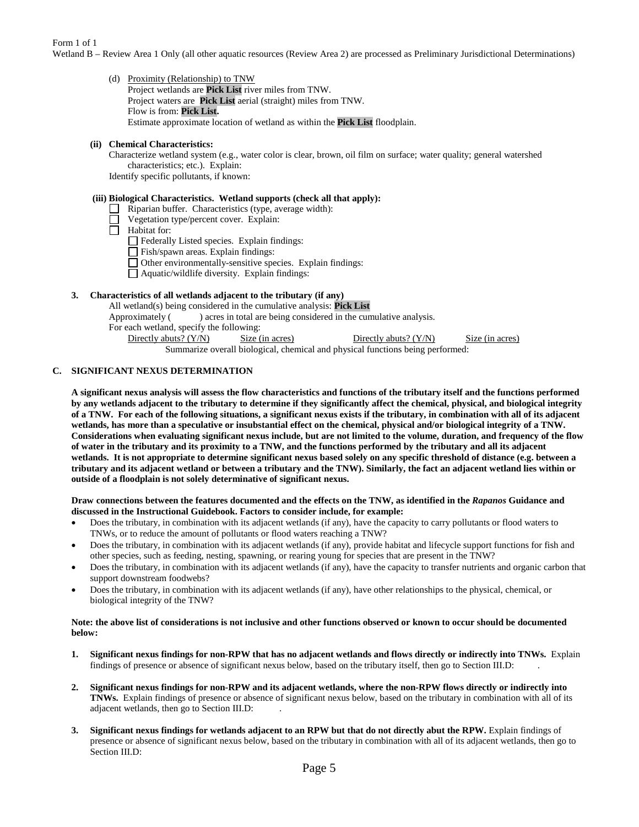Form 1 of 1

Wetland B – Review Area 1 Only (all other aquatic resources (Review Area 2) are processed as Preliminary Jurisdictional Determinations)

(d) Proximity (Relationship) to TNW Project wetlands are **Pick List** river miles from TNW. Project waters are **Pick List** aerial (straight) miles from TNW. Flow is from: **Pick List.** Estimate approximate location of wetland as within the **Pick List** floodplain.

# **(ii) Chemical Characteristics:**

Characterize wetland system (e.g., water color is clear, brown, oil film on surface; water quality; general watershed characteristics; etc.). Explain:

Identify specific pollutants, if known:

### **(iii) Biological Characteristics. Wetland supports (check all that apply):**

- $\Box$  Riparian buffer. Characteristics (type, average width):
- Vegetation type/percent cover. Explain:
- Habitat for:
	- Federally Listed species. Explain findings:

Fish/spawn areas. Explain findings:

- Other environmentally-sensitive species. Explain findings:
- Aquatic/wildlife diversity. Explain findings:

# **3. Characteristics of all wetlands adjacent to the tributary (if any)**

All wetland(s) being considered in the cumulative analysis: **Pick List**<br>Approximately () acres in total are being considered in the cun

) acres in total are being considered in the cumulative analysis.

For each wetland, specify the following:

Directly abuts? (Y/N) Size (in acres) Directly abuts? (Y/N) Size (in acres)

Summarize overall biological, chemical and physical functions being performed:

# **C. SIGNIFICANT NEXUS DETERMINATION**

**A significant nexus analysis will assess the flow characteristics and functions of the tributary itself and the functions performed by any wetlands adjacent to the tributary to determine if they significantly affect the chemical, physical, and biological integrity of a TNW. For each of the following situations, a significant nexus exists if the tributary, in combination with all of its adjacent wetlands, has more than a speculative or insubstantial effect on the chemical, physical and/or biological integrity of a TNW. Considerations when evaluating significant nexus include, but are not limited to the volume, duration, and frequency of the flow of water in the tributary and its proximity to a TNW, and the functions performed by the tributary and all its adjacent wetlands. It is not appropriate to determine significant nexus based solely on any specific threshold of distance (e.g. between a tributary and its adjacent wetland or between a tributary and the TNW). Similarly, the fact an adjacent wetland lies within or outside of a floodplain is not solely determinative of significant nexus.** 

### **Draw connections between the features documented and the effects on the TNW, as identified in the** *Rapanos* **Guidance and discussed in the Instructional Guidebook. Factors to consider include, for example:**

- Does the tributary, in combination with its adjacent wetlands (if any), have the capacity to carry pollutants or flood waters to TNWs, or to reduce the amount of pollutants or flood waters reaching a TNW?
- Does the tributary, in combination with its adjacent wetlands (if any), provide habitat and lifecycle support functions for fish and other species, such as feeding, nesting, spawning, or rearing young for species that are present in the TNW?
- Does the tributary, in combination with its adjacent wetlands (if any), have the capacity to transfer nutrients and organic carbon that support downstream foodwebs?
- Does the tributary, in combination with its adjacent wetlands (if any), have other relationships to the physical, chemical, or biological integrity of the TNW?

### **Note: the above list of considerations is not inclusive and other functions observed or known to occur should be documented below:**

- **1. Significant nexus findings for non-RPW that has no adjacent wetlands and flows directly or indirectly into TNWs.** Explain findings of presence or absence of significant nexus below, based on the tributary itself, then go to Section III.D: .
- **2. Significant nexus findings for non-RPW and its adjacent wetlands, where the non-RPW flows directly or indirectly into TNWs.** Explain findings of presence or absence of significant nexus below, based on the tributary in combination with all of its adjacent wetlands, then go to Section III.D: .
- **3. Significant nexus findings for wetlands adjacent to an RPW but that do not directly abut the RPW.** Explain findings of presence or absence of significant nexus below, based on the tributary in combination with all of its adjacent wetlands, then go to Section III.D: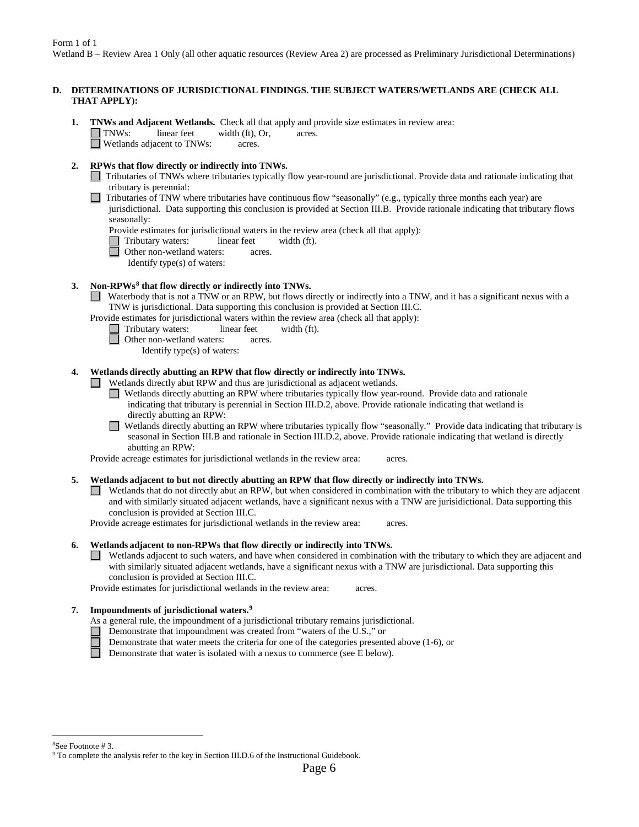## **D. DETERMINATIONS OF JURISDICTIONAL FINDINGS. THE SUBJECT WATERS/WETLANDS ARE (CHECK ALL THAT APPLY):**

**1. TNWs and Adjacent Wetlands.** Check all that apply and provide size estimates in review area:<br>
TNWs: linear feet width (ft), Or, acres.  $I$  linear feet width (ft), Or, acres. **Netlands adjacent to TNWs:** acres.

# **2. RPWs that flow directly or indirectly into TNWs.**

- Tributaries of TNWs where tributaries typically flow year-round are jurisdictional. Provide data and rationale indicating that tributary is perennial:
	- Tributaries of TNW where tributaries have continuous flow "seasonally" (e.g., typically three months each year) are
	- jurisdictional. Data supporting this conclusion is provided at Section III.B. Provide rationale indicating that tributary flows seasonally:

Provide estimates for jurisdictional waters in the review area (check all that apply):

Tributary waters: linear feet width (ft).

Other non-wetland waters: acres.

Identify type(s) of waters:

# **3. Non-RPWs[8](#page-5-0) that flow directly or indirectly into TNWs.**

Waterbody that is not a TNW or an RPW, but flows directly or indirectly into a TNW, and it has a significant nexus with a TNW is jurisdictional. Data supporting this conclusion is provided at Section III.C.

Provide estimates for jurisdictional waters within the review area (check all that apply):

- Tributary waters: linear feet width (ft).
	- Other non-wetland waters: acres.
		- Identify type(s) of waters:

## **4. Wetlands directly abutting an RPW that flow directly or indirectly into TNWs.**

 $\Box$  Wetlands directly abut RPW and thus are jurisdictional as adjacent wetlands.

- Wetlands directly abutting an RPW where tributaries typically flow year-round. Provide data and rationale indicating that tributary is perennial in Section III.D.2, above. Provide rationale indicating that wetland is directly abutting an RPW:
- Wetlands directly abutting an RPW where tributaries typically flow "seasonally." Provide data indicating that tributary is seasonal in Section III.B and rationale in Section III.D.2, above. Provide rationale indicating that wetland is directly abutting an RPW:

Provide acreage estimates for jurisdictional wetlands in the review area: acres.

### **5. Wetlands adjacent to but not directly abutting an RPW that flow directly or indirectly into TNWs.**

Wetlands that do not directly abut an RPW, but when considered in combination with the tributary to which they are adjacent and with similarly situated adjacent wetlands, have a significant nexus with a TNW are jurisidictional. Data supporting this conclusion is provided at Section III.C.

Provide acreage estimates for jurisdictional wetlands in the review area: acres.

### **6. Wetlands adjacent to non-RPWs that flow directly or indirectly into TNWs.**

Wetlands adjacent to such waters, and have when considered in combination with the tributary to which they are adjacent and with similarly situated adjacent wetlands, have a significant nexus with a TNW are jurisdictional. Data supporting this conclusion is provided at Section III.C.

Provide estimates for jurisdictional wetlands in the review area: acres.

### **7. Impoundments of jurisdictional waters. [9](#page-5-1)**

- As a general rule, the impoundment of a jurisdictional tributary remains jurisdictional.
- Demonstrate that impoundment was created from "waters of the U.S.," or
	- Demonstrate that water meets the criteria for one of the categories presented above (1-6), or

П Demonstrate that water is isolated with a nexus to commerce (see E below).

 <sup>8</sup>

<span id="page-5-1"></span><span id="page-5-0"></span><sup>&</sup>lt;sup>8</sup>See Footnote # 3.<br><sup>9</sup> To complete the analysis refer to the key in Section III.D.6 of the Instructional Guidebook.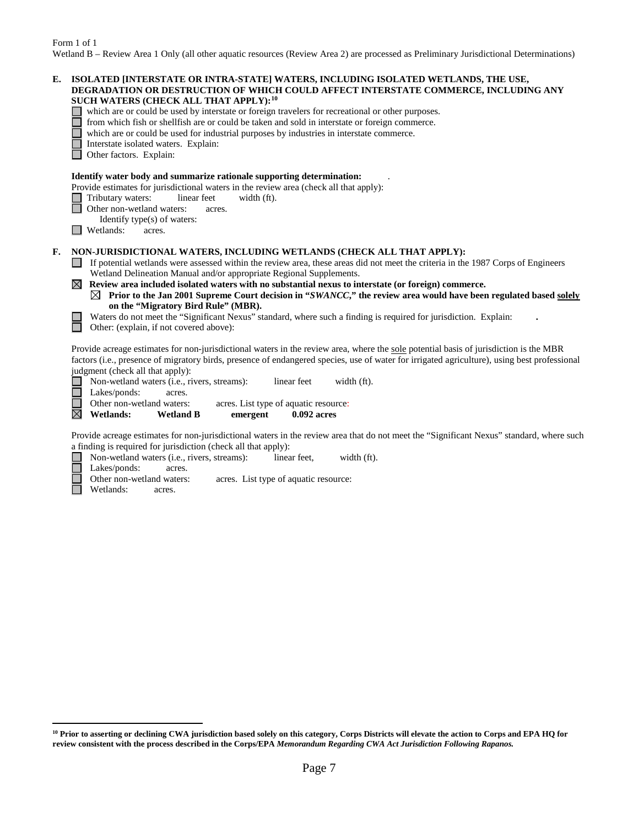| E. | ISOLATED [INTERSTATE OR INTRA-STATE] WATERS, INCLUDING ISOLATED WETLANDS, THE USE,<br>DEGRADATION OR DESTRUCTION OF WHICH COULD AFFECT INTERSTATE COMMERCE, INCLUDING ANY<br>SUCH WATERS (CHECK ALL THAT APPLY): <sup>10</sup><br>which are or could be used by interstate or foreign travelers for recreational or other purposes.<br>from which fish or shellfish are or could be taken and sold in interstate or foreign commerce.<br>which are or could be used for industrial purposes by industries in interstate commerce.<br>Interstate isolated waters. Explain:<br>Other factors. Explain:                                                                                                                                                                                                                                                                                                                                                                                                                                                                    |
|----|-------------------------------------------------------------------------------------------------------------------------------------------------------------------------------------------------------------------------------------------------------------------------------------------------------------------------------------------------------------------------------------------------------------------------------------------------------------------------------------------------------------------------------------------------------------------------------------------------------------------------------------------------------------------------------------------------------------------------------------------------------------------------------------------------------------------------------------------------------------------------------------------------------------------------------------------------------------------------------------------------------------------------------------------------------------------------|
|    | Identify water body and summarize rationale supporting determination:<br>Provide estimates for jurisdictional waters in the review area (check all that apply):<br>Tributary waters:<br>linear feet<br>width (ft).<br>Other non-wetland waters:<br>acres.<br>Identify type(s) of waters:<br>Wetlands:<br>acres.                                                                                                                                                                                                                                                                                                                                                                                                                                                                                                                                                                                                                                                                                                                                                         |
| F. | NON-JURISDICTIONAL WATERS, INCLUDING WETLANDS (CHECK ALL THAT APPLY):<br>If potential wetlands were assessed within the review area, these areas did not meet the criteria in the 1987 Corps of Engineers<br>Wetland Delineation Manual and/or appropriate Regional Supplements.<br>Review area included isolated waters with no substantial nexus to interstate (or foreign) commerce.<br>$\bowtie$<br>$\boxtimes$ Prior to the Jan 2001 Supreme Court decision in "SWANCC," the review area would have been regulated based solely<br>on the "Migratory Bird Rule" (MBR).<br>Waters do not meet the "Significant Nexus" standard, where such a finding is required for jurisdiction. Explain:<br>Other: (explain, if not covered above):<br>Provide acreage estimates for non-jurisdictional waters in the review area, where the sole potential basis of jurisdiction is the MBR<br>factors (i.e., presence of migratory birds, presence of endangered species, use of water for irrigated agriculture), using best professional<br>judgment (check all that apply): |
|    | Non-wetland waters (i.e., rivers, streams):<br>linear feet<br>width (ft).<br>Lakes/ponds:<br>acres.<br>Other non-wetland waters:<br>acres. List type of aquatic resource:<br>$\boxtimes$<br><b>Wetlands:</b><br><b>Wetland B</b><br>emergent<br>0.092 acres                                                                                                                                                                                                                                                                                                                                                                                                                                                                                                                                                                                                                                                                                                                                                                                                             |
|    | David Course Information from the distinct material and action care that do not most the GC and Care Mannell and and saddens and                                                                                                                                                                                                                                                                                                                                                                                                                                                                                                                                                                                                                                                                                                                                                                                                                                                                                                                                        |

Provide acreage estimates for non-jurisdictional waters in the review area that do not meet the "Significant Nexus" standard, where such a finding is required for jurisdiction (check all that apply):<br>
Non-wetland waters (i.e., rivers, streams): linea<br>
Lakes/ponds: acres.

Non-wetland waters (i.e., rivers, streams): linear feet, width (ft).

Lakes/ponds: acres.<br>Other non-wetland waters:

- Ĕ acres. List type of aquatic resource:
	- Wetlands: acres.

 $\overline{a}$ 

<span id="page-6-0"></span>**<sup>10</sup> Prior to asserting or declining CWA jurisdiction based solely on this category, Corps Districts will elevate the action to Corps and EPA HQ for review consistent with the process described in the Corps/EPA** *Memorandum Regarding CWA Act Jurisdiction Following Rapanos.*